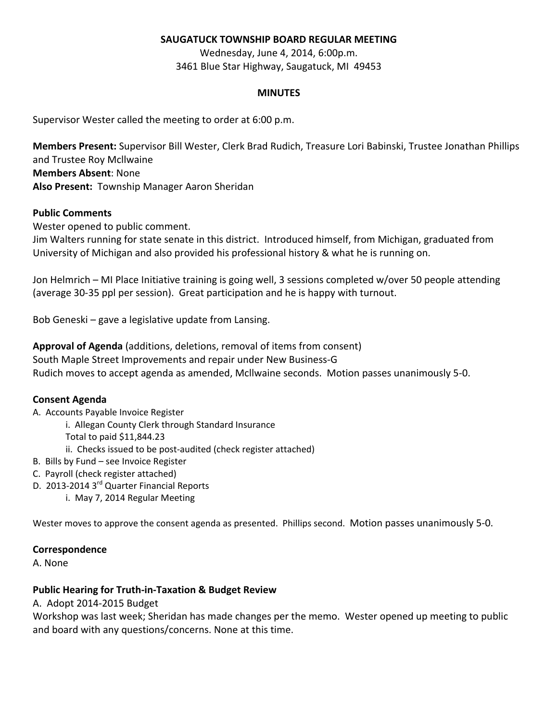### **SAUGATUCK TOWNSHIP BOARD REGULAR MEETING**

Wednesday, June 4, 2014, 6:00p.m. 3461 Blue Star Highway, Saugatuck, MI 49453

#### **MINUTES**

Supervisor Wester called the meeting to order at 6:00 p.m.

**Members Present:** Supervisor Bill Wester, Clerk Brad Rudich, Treasure Lori Babinski, Trustee Jonathan Phillips and Trustee Roy Mcllwaine **Members Absent**: None **Also Present:** Township Manager Aaron Sheridan

#### **Public Comments**

Wester opened to public comment.

Jim Walters running for state senate in this district. Introduced himself, from Michigan, graduated from University of Michigan and also provided his professional history & what he is running on.

Jon Helmrich – MI Place Initiative training is going well, 3 sessions completed w/over 50 people attending (average 30-35 ppl per session). Great participation and he is happy with turnout.

Bob Geneski – gave a legislative update from Lansing.

**Approval of Agenda** (additions, deletions, removal of items from consent) South Maple Street Improvements and repair under New Business-G Rudich moves to accept agenda as amended, Mcllwaine seconds. Motion passes unanimously 5-0.

### **Consent Agenda**

- A. Accounts Payable Invoice Register
	- i. Allegan County Clerk through Standard Insurance

Total to paid \$11,844.23

ii. Checks issued to be post-audited (check register attached)

- B. Bills by Fund see Invoice Register
- C. Payroll (check register attached)
- D. 2013-2014 3<sup>rd</sup> Quarter Financial Reports
	- i. May 7, 2014 Regular Meeting

Wester moves to approve the consent agenda as presented. Phillips second. Motion passes unanimously 5-0.

### **Correspondence**

A. None

### **Public Hearing for Truth-in-Taxation & Budget Review**

A. Adopt 2014-2015 Budget

Workshop was last week; Sheridan has made changes per the memo. Wester opened up meeting to public and board with any questions/concerns. None at this time.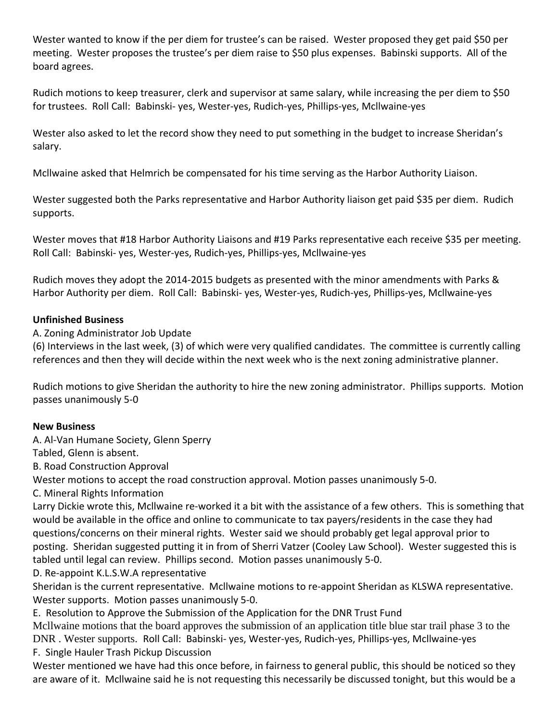Wester wanted to know if the per diem for trustee's can be raised. Wester proposed they get paid \$50 per meeting. Wester proposes the trustee's per diem raise to \$50 plus expenses. Babinski supports. All of the board agrees.

Rudich motions to keep treasurer, clerk and supervisor at same salary, while increasing the per diem to \$50 for trustees. Roll Call: Babinski- yes, Wester-yes, Rudich-yes, Phillips-yes, Mcllwaine-yes

Wester also asked to let the record show they need to put something in the budget to increase Sheridan's salary.

Mcllwaine asked that Helmrich be compensated for his time serving as the Harbor Authority Liaison.

Wester suggested both the Parks representative and Harbor Authority liaison get paid \$35 per diem. Rudich supports.

Wester moves that #18 Harbor Authority Liaisons and #19 Parks representative each receive \$35 per meeting. Roll Call: Babinski- yes, Wester-yes, Rudich-yes, Phillips-yes, Mcllwaine-yes

Rudich moves they adopt the 2014-2015 budgets as presented with the minor amendments with Parks & Harbor Authority per diem. Roll Call: Babinski- yes, Wester-yes, Rudich-yes, Phillips-yes, Mcllwaine-yes

# **Unfinished Business**

A. Zoning Administrator Job Update

(6) Interviews in the last week, (3) of which were very qualified candidates. The committee is currently calling references and then they will decide within the next week who is the next zoning administrative planner.

Rudich motions to give Sheridan the authority to hire the new zoning administrator. Phillips supports. Motion passes unanimously 5-0

### **New Business**

A. Al-Van Humane Society, Glenn Sperry

Tabled, Glenn is absent.

B. Road Construction Approval

Wester motions to accept the road construction approval. Motion passes unanimously 5-0.

C. Mineral Rights Information

Larry Dickie wrote this, Mcllwaine re-worked it a bit with the assistance of a few others. This is something that would be available in the office and online to communicate to tax payers/residents in the case they had questions/concerns on their mineral rights. Wester said we should probably get legal approval prior to posting. Sheridan suggested putting it in from of Sherri Vatzer (Cooley Law School). Wester suggested this is tabled until legal can review. Phillips second. Motion passes unanimously 5-0.

# D. Re-appoint K.L.S.W.A representative

Sheridan is the current representative. Mcllwaine motions to re-appoint Sheridan as KLSWA representative. Wester supports. Motion passes unanimously 5-0.

E. Resolution to Approve the Submission of the Application for the DNR Trust Fund

Mcllwaine motions that the board approves the submission of an application title blue star trail phase 3 to the DNR . Wester supports. Roll Call: Babinski- yes, Wester-yes, Rudich-yes, Phillips-yes, Mcllwaine-yes

F. Single Hauler Trash Pickup Discussion

Wester mentioned we have had this once before, in fairness to general public, this should be noticed so they are aware of it. Mcllwaine said he is not requesting this necessarily be discussed tonight, but this would be a